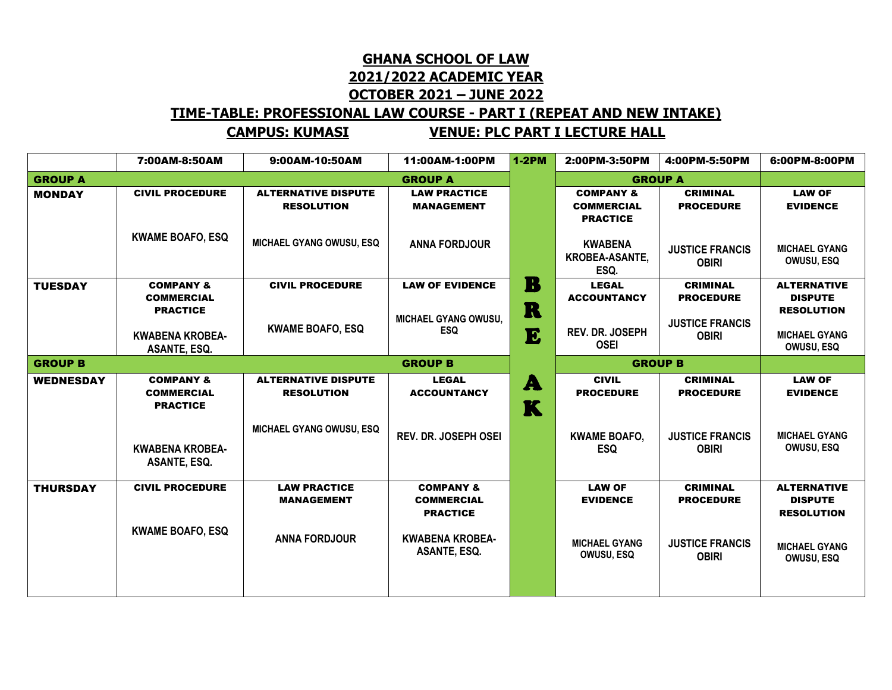## **GHANA SCHOOL OF LAW 2021/2022 ACADEMIC YEAR OCTOBER 2021 – JUNE 2022**

## **TIME-TABLE: PROFESSIONAL LAW COURSE - PART I (REPEAT AND NEW INTAKE)**

**CAMPUS: KUMASI VENUE: PLC PART I LECTURE HALL**

|                                  | 7:00AM-8:50AM                                                | 9:00AM-10:50AM                                  | 11:00AM-1:00PM                                               | $1-2PM$ | 2:00PM-3:50PM                                                | 4:00PM-5:50PM                          | 6:00PM-8:00PM                                             |
|----------------------------------|--------------------------------------------------------------|-------------------------------------------------|--------------------------------------------------------------|---------|--------------------------------------------------------------|----------------------------------------|-----------------------------------------------------------|
| <b>GROUP A</b>                   | <b>GROUP A</b>                                               |                                                 |                                                              |         | <b>GROUP A</b>                                               |                                        |                                                           |
| <b>MONDAY</b>                    | <b>CIVIL PROCEDURE</b>                                       | <b>ALTERNATIVE DISPUTE</b><br><b>RESOLUTION</b> | <b>LAW PRACTICE</b><br><b>MANAGEMENT</b>                     |         | <b>COMPANY &amp;</b><br><b>COMMERCIAL</b><br><b>PRACTICE</b> | <b>CRIMINAL</b><br><b>PROCEDURE</b>    | <b>LAW OF</b><br><b>EVIDENCE</b>                          |
|                                  | <b>KWAME BOAFO, ESQ</b>                                      | <b>MICHAEL GYANG OWUSU, ESQ</b>                 | <b>ANNA FORDJOUR</b>                                         |         | <b>KWABENA</b><br>KROBEA-ASANTE,<br>ESQ.                     | <b>JUSTICE FRANCIS</b><br><b>OBIRI</b> | <b>MICHAEL GYANG</b><br><b>OWUSU, ESQ</b>                 |
| <b>TUESDAY</b>                   | <b>COMPANY &amp;</b><br><b>COMMERCIAL</b><br><b>PRACTICE</b> | <b>CIVIL PROCEDURE</b>                          | <b>LAW OF EVIDENCE</b><br>MICHAEL GYANG OWUSU,               | B<br>R  | <b>LEGAL</b><br><b>ACCOUNTANCY</b>                           | <b>CRIMINAL</b><br><b>PROCEDURE</b>    | <b>ALTERNATIVE</b><br><b>DISPUTE</b><br><b>RESOLUTION</b> |
|                                  | <b>KWABENA KROBEA-</b><br><b>ASANTE, ESQ.</b>                | <b>KWAME BOAFO, ESQ</b>                         | <b>ESQ</b>                                                   | E       | <b>REV. DR. JOSEPH</b><br><b>OSEI</b>                        | <b>JUSTICE FRANCIS</b><br><b>OBIRI</b> | <b>MICHAEL GYANG</b><br><b>OWUSU, ESQ</b>                 |
| <b>GROUP B</b><br><b>GROUP B</b> |                                                              |                                                 |                                                              |         | <b>GROUP B</b>                                               |                                        |                                                           |
| <b>WEDNESDAY</b>                 | <b>COMPANY &amp;</b><br><b>COMMERCIAL</b><br><b>PRACTICE</b> | <b>ALTERNATIVE DISPUTE</b><br><b>RESOLUTION</b> | <b>LEGAL</b><br><b>ACCOUNTANCY</b>                           | A<br>K  | <b>CIVIL</b><br><b>PROCEDURE</b>                             | <b>CRIMINAL</b><br><b>PROCEDURE</b>    | <b>LAW OF</b><br><b>EVIDENCE</b>                          |
|                                  | <b>KWABENA KROBEA-</b><br>ASANTE, ESQ.                       | MICHAEL GYANG OWUSU, ESQ                        | <b>REV. DR. JOSEPH OSEI</b>                                  |         | <b>KWAME BOAFO,</b><br><b>ESQ</b>                            | <b>JUSTICE FRANCIS</b><br><b>OBIRI</b> | <b>MICHAEL GYANG</b><br><b>OWUSU, ESQ</b>                 |
| <b>THURSDAY</b>                  | <b>CIVIL PROCEDURE</b>                                       | <b>LAW PRACTICE</b><br><b>MANAGEMENT</b>        | <b>COMPANY &amp;</b><br><b>COMMERCIAL</b><br><b>PRACTICE</b> |         | <b>LAW OF</b><br><b>EVIDENCE</b>                             | <b>CRIMINAL</b><br><b>PROCEDURE</b>    | <b>ALTERNATIVE</b><br><b>DISPUTE</b><br><b>RESOLUTION</b> |
|                                  | <b>KWAME BOAFO, ESQ</b>                                      | <b>ANNA FORDJOUR</b>                            | <b>KWABENA KROBEA-</b><br>ASANTE, ESQ.                       |         | <b>MICHAEL GYANG</b><br><b>OWUSU, ESQ</b>                    | <b>JUSTICE FRANCIS</b><br><b>OBIRI</b> | <b>MICHAEL GYANG</b><br>OWUSU, ESQ                        |